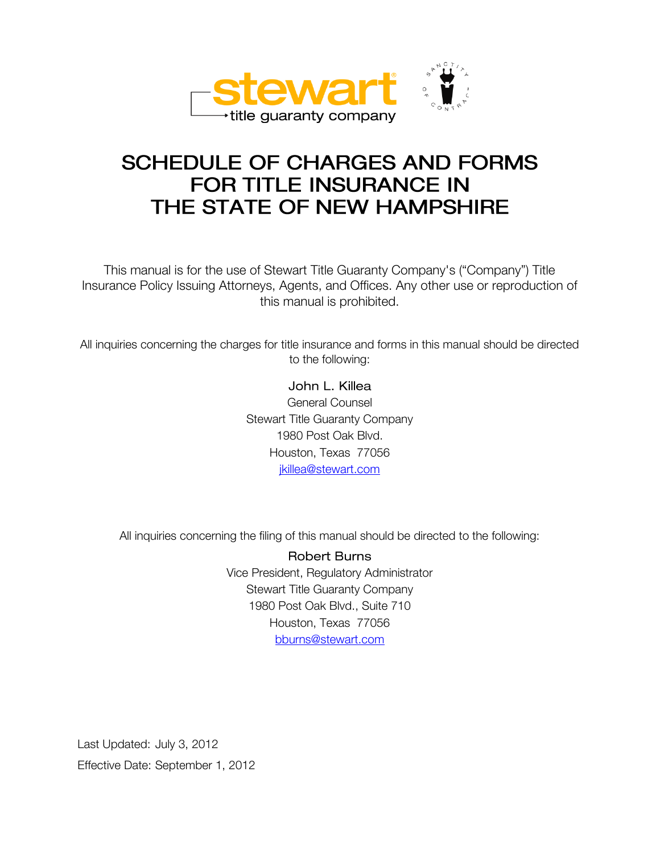

# **SCHEDULE OF CHARGES AND FORMS** FOR TITLE INSURANCE IN THE STATE OF NEW HAMPSHIRE

This manual is for the use of Stewart Title Guaranty Company's ("Company") Title Insurance Policy Issuing Attorneys, Agents, and Offices. Any other use or reproduction of this manual is prohibited.

All inquiries concerning the charges for title insurance and forms in this manual should be directed to the following:

> John L. Killea General Counsel Stewart Title Guaranty Company 1980 Post Oak Blvd. Houston, Texas 77056 [jkillea@stewart.com](mailto:jkillea@stewart.com)

All inquiries concerning the filing of this manual should be directed to the following:

**Robert Burns** Vice President, Regulatory Administrator Stewart Title Guaranty Company 1980 Post Oak Blvd., Suite 710 Houston, Texas 77056 [bburns@stewart.com](mailto:bburns@stewart.com) 

Last Updated: July 3, 2012 Effective Date: September 1, 2012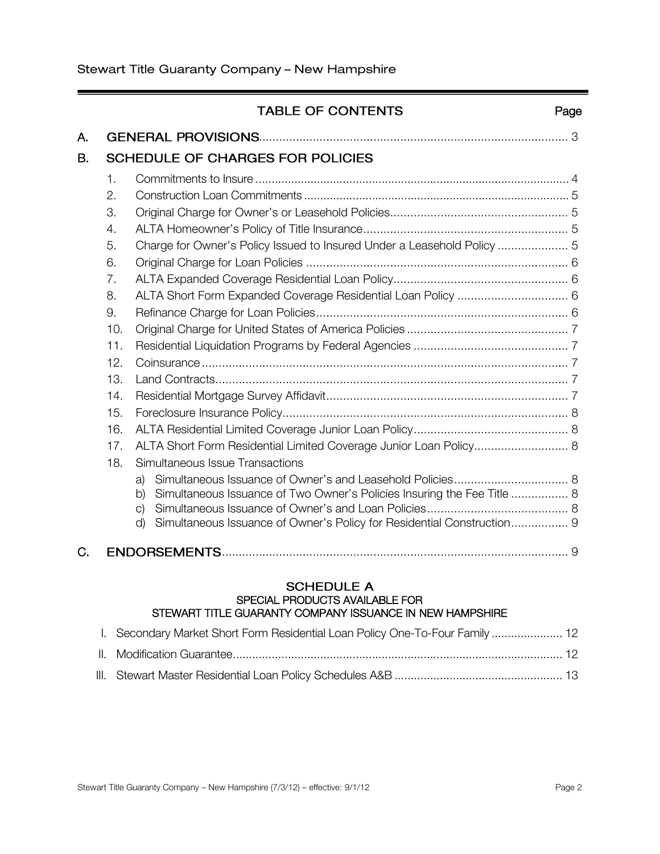į

|           |                                                                                                                   | <b>TABLE OF CONTENTS</b>                                                                                                                                                                                                                              | Page |
|-----------|-------------------------------------------------------------------------------------------------------------------|-------------------------------------------------------------------------------------------------------------------------------------------------------------------------------------------------------------------------------------------------------|------|
| А.        |                                                                                                                   |                                                                                                                                                                                                                                                       |      |
| <b>B.</b> |                                                                                                                   | <b>SCHEDULE OF CHARGES FOR POLICIES</b>                                                                                                                                                                                                               |      |
|           | 1.<br>2.<br>3.<br>4.<br>5.<br>6.<br>7.<br>8.<br>9.<br>10.<br>11.<br>12.<br>13.<br>14.<br>15.<br>16.<br>17.<br>18. | Charge for Owner's Policy Issued to Insured Under a Leasehold Policy  5<br>ALTA Short Form Expanded Coverage Residential Loan Policy  6<br>ALTA Short Form Residential Limited Coverage Junior Loan Policy 8<br>Simultaneous Issue Transactions<br>a) |      |
|           |                                                                                                                   | Simultaneous Issuance of Two Owner's Policies Insuring the Fee Title  8<br>b)<br>C)<br>Simultaneous Issuance of Owner's Policy for Residential Construction 9<br>d)                                                                                   |      |
| C.        |                                                                                                                   |                                                                                                                                                                                                                                                       |      |
|           | I.                                                                                                                | <b>SCHEDULE A</b><br>SPECIAL PRODUCTS AVAILABLE FOR<br>STEWART TITLE GUARANTY COMPANY ISSUANCE IN NEW HAMPSHIRE<br>Secondary Market Short Form Residential Loan Policy One-To-Four Family  12                                                         |      |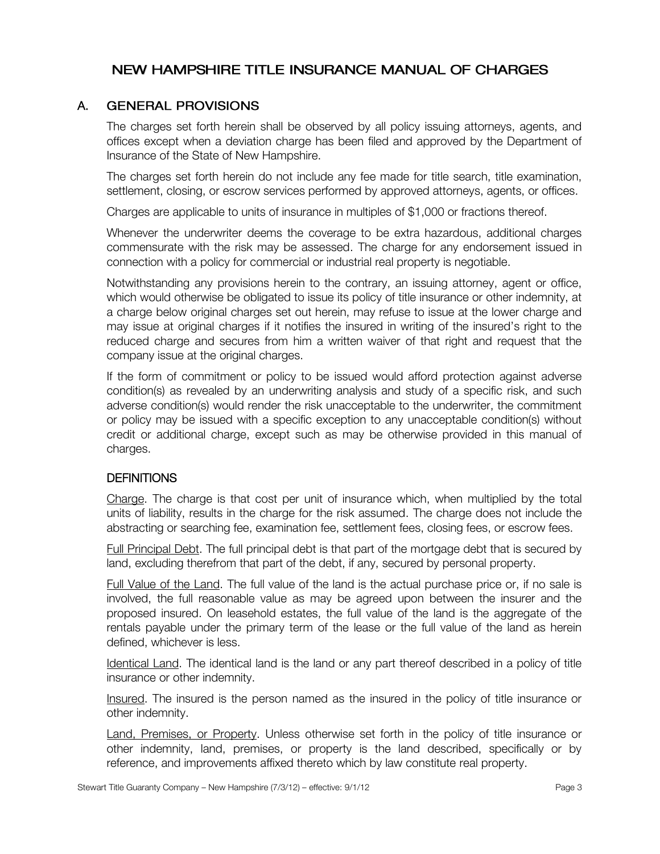## NEW HAMPSHIRE TITLE INSURANCE MANUAL OF CHARGES

#### A. **GENERAL PROVISIONS**

The charges set forth herein shall be observed by all policy issuing attorneys, agents, and offices except when a deviation charge has been filed and approved by the Department of Insurance of the State of New Hampshire.

The charges set forth herein do not include any fee made for title search, title examination, settlement, closing, or escrow services performed by approved attorneys, agents, or offices.

Charges are applicable to units of insurance in multiples of \$1,000 or fractions thereof.

Whenever the underwriter deems the coverage to be extra hazardous, additional charges commensurate with the risk may be assessed. The charge for any endorsement issued in connection with a policy for commercial or industrial real property is negotiable.

Notwithstanding any provisions herein to the contrary, an issuing attorney, agent or office, which would otherwise be obligated to issue its policy of title insurance or other indemnity, at a charge below original charges set out herein, may refuse to issue at the lower charge and may issue at original charges if it notifies the insured in writing of the insured's right to the reduced charge and secures from him a written waiver of that right and request that the company issue at the original charges.

If the form of commitment or policy to be issued would afford protection against adverse condition(s) as revealed by an underwriting analysis and study of a specific risk, and such adverse condition(s) would render the risk unacceptable to the underwriter, the commitment or policy may be issued with a specific exception to any unacceptable condition(s) without credit or additional charge, except such as may be otherwise provided in this manual of charges.

#### **DEFINITIONS**

Charge. The charge is that cost per unit of insurance which, when multiplied by the total units of liability, results in the charge for the risk assumed. The charge does not include the abstracting or searching fee, examination fee, settlement fees, closing fees, or escrow fees.

Full Principal Debt. The full principal debt is that part of the mortgage debt that is secured by land, excluding therefrom that part of the debt, if any, secured by personal property.

Full Value of the Land. The full value of the land is the actual purchase price or, if no sale is involved, the full reasonable value as may be agreed upon between the insurer and the proposed insured. On leasehold estates, the full value of the land is the aggregate of the rentals payable under the primary term of the lease or the full value of the land as herein defined, whichever is less.

Identical Land. The identical land is the land or any part thereof described in a policy of title insurance or other indemnity.

Insured. The insured is the person named as the insured in the policy of title insurance or other indemnity.

Land, Premises, or Property. Unless otherwise set forth in the policy of title insurance or other indemnity, land, premises, or property is the land described, specifically or by reference, and improvements affixed thereto which by law constitute real property.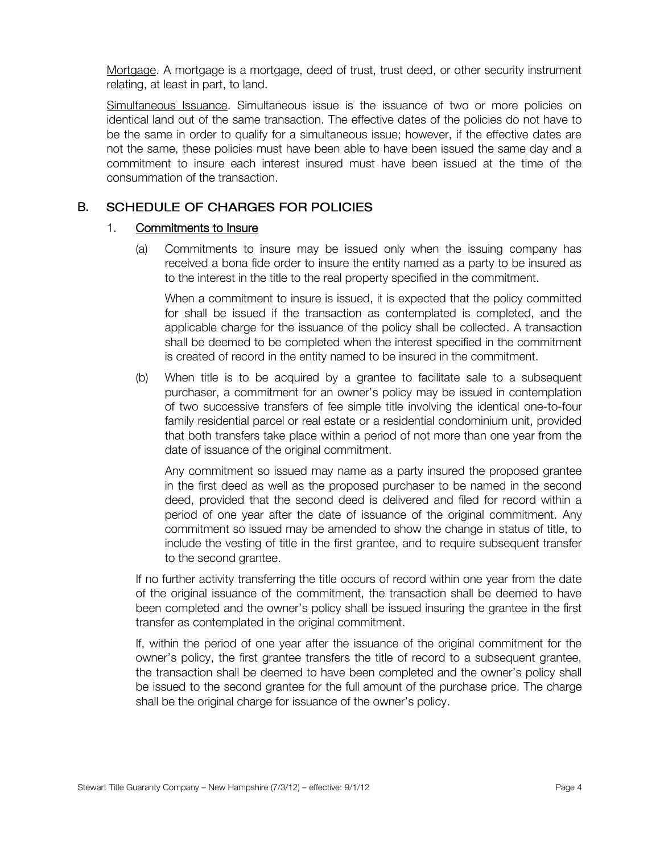Mortgage. A mortgage is a mortgage, deed of trust, trust deed, or other security instrument relating, at least in part, to land.

Simultaneous Issuance. Simultaneous issue is the issuance of two or more policies on identical land out of the same transaction. The effective dates of the policies do not have to be the same in order to qualify for a simultaneous issue; however, if the effective dates are not the same, these policies must have been able to have been issued the same day and a commitment to insure each interest insured must have been issued at the time of the consummation of the transaction.

#### B. SCHEDULE OF CHARGES FOR POLICIES

#### 1. Commitments to Insure

(a) Commitments to insure may be issued only when the issuing company has received a bona fide order to insure the entity named as a party to be insured as to the interest in the title to the real property specified in the commitment.

When a commitment to insure is issued, it is expected that the policy committed for shall be issued if the transaction as contemplated is completed, and the applicable charge for the issuance of the policy shall be collected. A transaction shall be deemed to be completed when the interest specified in the commitment is created of record in the entity named to be insured in the commitment.

(b) When title is to be acquired by a grantee to facilitate sale to a subsequent purchaser, a commitment for an owner's policy may be issued in contemplation of two successive transfers of fee simple title involving the identical one-to-four family residential parcel or real estate or a residential condominium unit, provided that both transfers take place within a period of not more than one year from the date of issuance of the original commitment.

Any commitment so issued may name as a party insured the proposed grantee in the first deed as well as the proposed purchaser to be named in the second deed, provided that the second deed is delivered and filed for record within a period of one year after the date of issuance of the original commitment. Any commitment so issued may be amended to show the change in status of title, to include the vesting of title in the first grantee, and to require subsequent transfer to the second grantee.

If no further activity transferring the title occurs of record within one year from the date of the original issuance of the commitment, the transaction shall be deemed to have been completed and the owner's policy shall be issued insuring the grantee in the first transfer as contemplated in the original commitment.

If, within the period of one year after the issuance of the original commitment for the owner's policy, the first grantee transfers the title of record to a subsequent grantee, the transaction shall be deemed to have been completed and the owner's policy shall be issued to the second grantee for the full amount of the purchase price. The charge shall be the original charge for issuance of the owner's policy.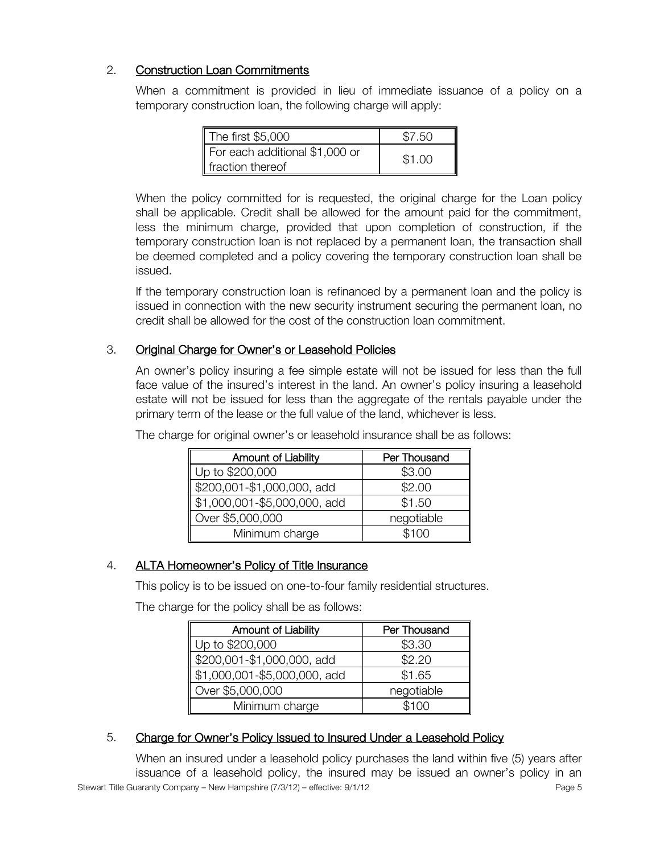### 2. Construction Loan Commitments

When a commitment is provided in lieu of immediate issuance of a policy on a temporary construction loan, the following charge will apply:

| The first $$5,000$                                 | \$7.50 |
|----------------------------------------------------|--------|
| For each additional \$1,000 or<br>fraction thereof | \$1.00 |

When the policy committed for is requested, the original charge for the Loan policy shall be applicable. Credit shall be allowed for the amount paid for the commitment, less the minimum charge, provided that upon completion of construction, if the temporary construction loan is not replaced by a permanent loan, the transaction shall be deemed completed and a policy covering the temporary construction loan shall be issued.

If the temporary construction loan is refinanced by a permanent loan and the policy is issued in connection with the new security instrument securing the permanent loan, no credit shall be allowed for the cost of the construction loan commitment.

#### 3. Original Charge for Owner's or Leasehold Policies

An owner's policy insuring a fee simple estate will not be issued for less than the full face value of the insured's interest in the land. An owner's policy insuring a leasehold estate will not be issued for less than the aggregate of the rentals payable under the primary term of the lease or the full value of the land, whichever is less.

| <b>Amount of Liability</b>   | Per Thousand |
|------------------------------|--------------|
| Up to \$200,000              | \$3.00       |
| \$200,001-\$1,000,000, add   | \$2.00       |
| \$1,000,001-\$5,000,000, add | \$1.50       |
| Over \$5,000,000             | negotiable   |
| Minimum charge               | \$100        |

The charge for original owner's or leasehold insurance shall be as follows:

### 4. ALTA Homeowner's Policy of Title Insurance

This policy is to be issued on one-to-four family residential structures.

The charge for the policy shall be as follows:

| Amount of Liability          | Per Thousand |
|------------------------------|--------------|
| Up to \$200,000              | \$3.30       |
| \$200,001-\$1,000,000, add   | \$2.20       |
| \$1,000,001-\$5,000,000, add | \$1.65       |
| Over \$5,000,000             | negotiable   |
| Minimum charge               | \$100        |

#### 5. Charge for Owner's Policy Issued to Insured Under a Leasehold Policy

Stewart Title Guaranty Company – New Hampshire (7/3/12) – effective: 9/1/12 When an insured under a leasehold policy purchases the land within five (5) years after issuance of a leasehold policy, the insured may be issued an owner's policy in an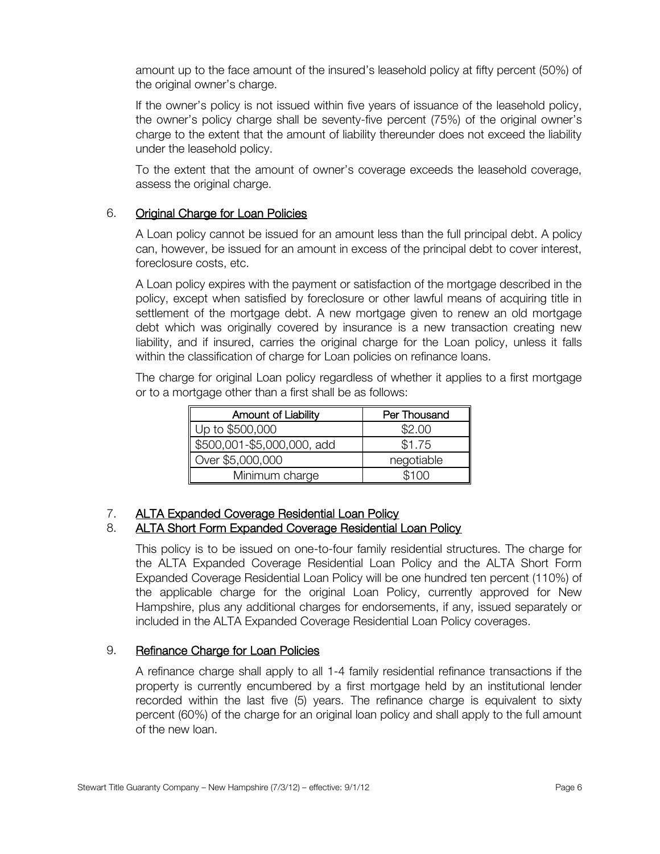amount up to the face amount of the insured's leasehold policy at fifty percent (50%) of the original owner's charge.

If the owner's policy is not issued within five years of issuance of the leasehold policy, the owner's policy charge shall be seventy-five percent (75%) of the original owner's charge to the extent that the amount of liability thereunder does not exceed the liability under the leasehold policy.

To the extent that the amount of owner's coverage exceeds the leasehold coverage, assess the original charge.

#### 6. Original Charge for Loan Policies

A Loan policy cannot be issued for an amount less than the full principal debt. A policy can, however, be issued for an amount in excess of the principal debt to cover interest, foreclosure costs, etc.

A Loan policy expires with the payment or satisfaction of the mortgage described in the policy, except when satisfied by foreclosure or other lawful means of acquiring title in settlement of the mortgage debt. A new mortgage given to renew an old mortgage debt which was originally covered by insurance is a new transaction creating new liability, and if insured, carries the original charge for the Loan policy, unless it falls within the classification of charge for Loan policies on refinance loans.

The charge for original Loan policy regardless of whether it applies to a first mortgage or to a mortgage other than a first shall be as follows:

| <b>Amount of Liability</b> | Per Thousand |
|----------------------------|--------------|
| Up to \$500,000            | \$2.00       |
| \$500,001-\$5,000,000, add | \$1.75       |
| Over \$5,000,000           | negotiable   |
| Minimum charge             | \$100        |

#### 7. ALTA Expanded Coverage Residential Loan Policy

#### 8. ALTA Short Form Expanded Coverage Residential Loan Policy

This policy is to be issued on one-to-four family residential structures. The charge for the ALTA Expanded Coverage Residential Loan Policy and the ALTA Short Form Expanded Coverage Residential Loan Policy will be one hundred ten percent (110%) of the applicable charge for the original Loan Policy, currently approved for New Hampshire, plus any additional charges for endorsements, if any, issued separately or included in the ALTA Expanded Coverage Residential Loan Policy coverages.

#### 9. Refinance Charge for Loan Policies

A refinance charge shall apply to all 1-4 family residential refinance transactions if the property is currently encumbered by a first mortgage held by an institutional lender recorded within the last five (5) years. The refinance charge is equivalent to sixty percent (60%) of the charge for an original loan policy and shall apply to the full amount of the new loan.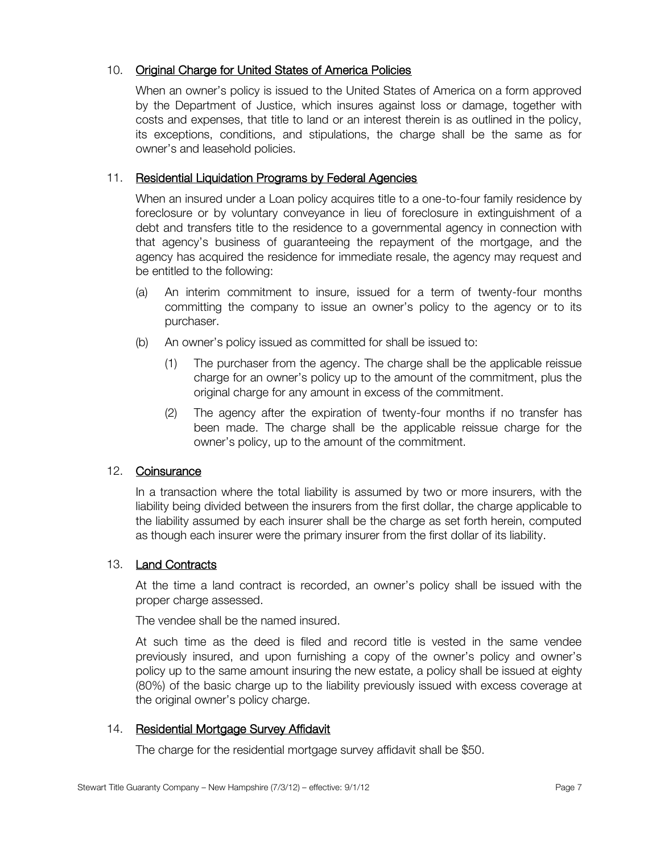#### 10. Original Charge for United States of America Policies

When an owner's policy is issued to the United States of America on a form approved by the Department of Justice, which insures against loss or damage, together with costs and expenses, that title to land or an interest therein is as outlined in the policy, its exceptions, conditions, and stipulations, the charge shall be the same as for owner's and leasehold policies.

#### 11. Residential Liquidation Programs by Federal Agencies

When an insured under a Loan policy acquires title to a one-to-four family residence by foreclosure or by voluntary conveyance in lieu of foreclosure in extinguishment of a debt and transfers title to the residence to a governmental agency in connection with that agency's business of guaranteeing the repayment of the mortgage, and the agency has acquired the residence for immediate resale, the agency may request and be entitled to the following:

- (a) An interim commitment to insure, issued for a term of twenty-four months committing the company to issue an owner's policy to the agency or to its purchaser.
- (b) An owner's policy issued as committed for shall be issued to:
	- (1) The purchaser from the agency. The charge shall be the applicable reissue charge for an owner's policy up to the amount of the commitment, plus the original charge for any amount in excess of the commitment.
	- (2) The agency after the expiration of twenty-four months if no transfer has been made. The charge shall be the applicable reissue charge for the owner's policy, up to the amount of the commitment.

#### 12. Coinsurance

In a transaction where the total liability is assumed by two or more insurers, with the liability being divided between the insurers from the first dollar, the charge applicable to the liability assumed by each insurer shall be the charge as set forth herein, computed as though each insurer were the primary insurer from the first dollar of its liability.

#### 13. Land Contracts

At the time a land contract is recorded, an owner's policy shall be issued with the proper charge assessed.

The vendee shall be the named insured.

At such time as the deed is filed and record title is vested in the same vendee previously insured, and upon furnishing a copy of the owner's policy and owner's policy up to the same amount insuring the new estate, a policy shall be issued at eighty (80%) of the basic charge up to the liability previously issued with excess coverage at the original owner's policy charge.

#### 14. Residential Mortgage Survey Affidavit

The charge for the residential mortgage survey affidavit shall be \$50.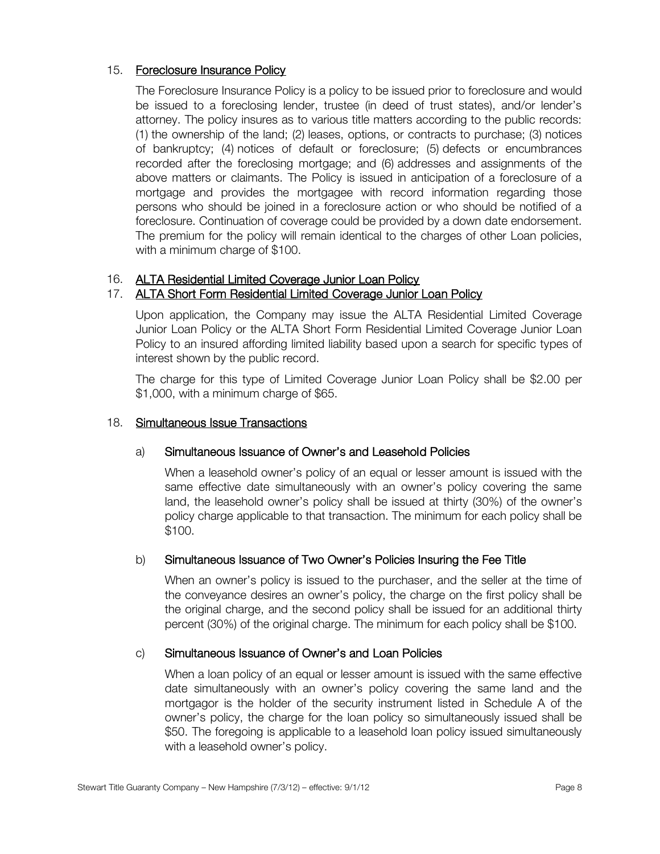#### 15. Foreclosure Insurance Policy

The Foreclosure Insurance Policy is a policy to be issued prior to foreclosure and would be issued to a foreclosing lender, trustee (in deed of trust states), and/or lender's attorney. The policy insures as to various title matters according to the public records: (1) the ownership of the land; (2) leases, options, or contracts to purchase; (3) notices of bankruptcy; (4) notices of default or foreclosure; (5) defects or encumbrances recorded after the foreclosing mortgage; and (6) addresses and assignments of the above matters or claimants. The Policy is issued in anticipation of a foreclosure of a mortgage and provides the mortgagee with record information regarding those persons who should be joined in a foreclosure action or who should be notified of a foreclosure. Continuation of coverage could be provided by a down date endorsement. The premium for the policy will remain identical to the charges of other Loan policies, with a minimum charge of \$100.

#### 16. ALTA Residential Limited Coverage Junior Loan Policy

#### 17. ALTA Short Form Residential Limited Coverage Junior Loan Policy

Upon application, the Company may issue the ALTA Residential Limited Coverage Junior Loan Policy or the ALTA Short Form Residential Limited Coverage Junior Loan Policy to an insured affording limited liability based upon a search for specific types of interest shown by the public record.

The charge for this type of Limited Coverage Junior Loan Policy shall be \$2.00 per \$1,000, with a minimum charge of \$65.

#### 18. Simultaneous Issue Transactions

#### a) Simultaneous Issuance of Owner's and Leasehold Policies

When a leasehold owner's policy of an equal or lesser amount is issued with the same effective date simultaneously with an owner's policy covering the same land, the leasehold owner's policy shall be issued at thirty (30%) of the owner's policy charge applicable to that transaction. The minimum for each policy shall be \$100.

#### b) Simultaneous Issuance of Two Owner's Policies Insuring the Fee Title

When an owner's policy is issued to the purchaser, and the seller at the time of the conveyance desires an owner's policy, the charge on the first policy shall be the original charge, and the second policy shall be issued for an additional thirty percent (30%) of the original charge. The minimum for each policy shall be \$100.

#### c) Simultaneous Issuance of Owner's and Loan Policies

When a loan policy of an equal or lesser amount is issued with the same effective date simultaneously with an owner's policy covering the same land and the mortgagor is the holder of the security instrument listed in Schedule A of the owner's policy, the charge for the loan policy so simultaneously issued shall be \$50. The foregoing is applicable to a leasehold loan policy issued simultaneously with a leasehold owner's policy.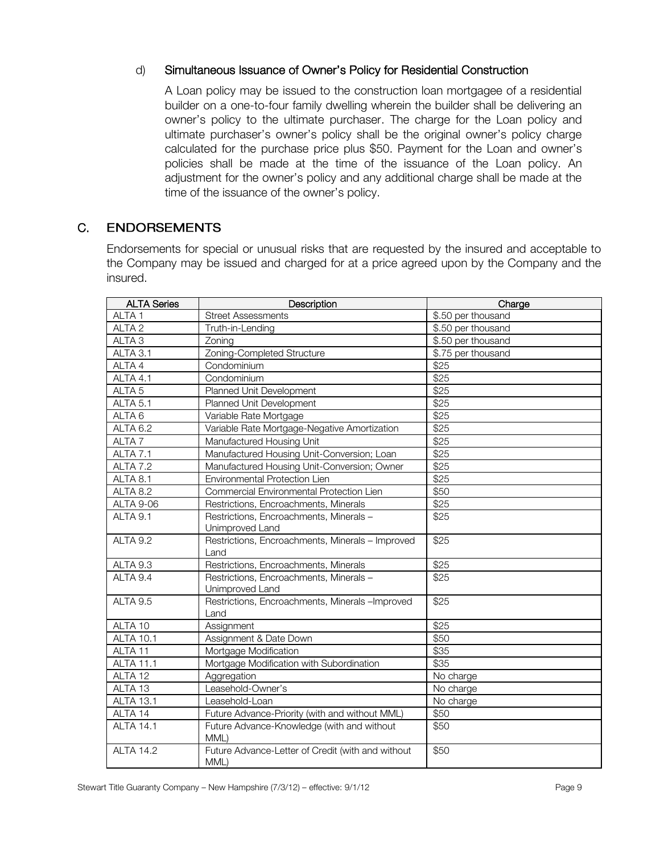#### d) Simultaneous Issuance of Owner's Policy for Residential Construction

A Loan policy may be issued to the construction loan mortgagee of a residential builder on a one-to-four family dwelling wherein the builder shall be delivering an owner's policy to the ultimate purchaser. The charge for the Loan policy and ultimate purchaser's owner's policy shall be the original owner's policy charge calculated for the purchase price plus \$50. Payment for the Loan and owner's policies shall be made at the time of the issuance of the Loan policy. An adjustment for the owner's policy and any additional charge shall be made at the time of the issuance of the owner's policy.

#### C. **ENDORSEMENTS**

Endorsements for special or unusual risks that are requested by the insured and acceptable to the Company may be issued and charged for at a price agreed upon by the Company and the insured.

| <b>ALTA Series</b>  | Description                                                                 | Charge             |
|---------------------|-----------------------------------------------------------------------------|--------------------|
| ALTA <sub>1</sub>   | <b>Street Assessments</b>                                                   | \$.50 per thousand |
| ALTA <sub>2</sub>   | Truth-in-Lending                                                            | \$.50 per thousand |
| ALTA <sub>3</sub>   | Zoning                                                                      | \$.50 per thousand |
| ALTA 3.1            | Zoning-Completed Structure                                                  | \$.75 per thousand |
| ALTA 4              | Condominium                                                                 | \$25               |
| ALTA 4.1            | Condominium                                                                 | \$25               |
| ALTA <sub>5</sub>   | Planned Unit Development                                                    | \$25               |
| ALTA <sub>5.1</sub> | Planned Unit Development                                                    | \$25               |
| ALTA <sub>6</sub>   | Variable Rate Mortgage                                                      | \$25               |
| ALTA 6.2            | Variable Rate Mortgage-Negative Amortization                                | \$25               |
| ALTA <sub>7</sub>   | Manufactured Housing Unit                                                   | \$25               |
| ALTA 7.1            | Manufactured Housing Unit-Conversion; Loan                                  | \$25               |
| ALTA 7.2            | Manufactured Housing Unit-Conversion; Owner                                 | \$25               |
| ALTA 8.1            | Environmental Protection Lien                                               | \$25               |
| ALTA 8.2            | Commercial Environmental Protection Lien                                    | \$50               |
| <b>ALTA 9-06</b>    | Restrictions, Encroachments, Minerals                                       | \$25               |
| ALTA 9.1            | Restrictions, Encroachments, Minerals -                                     | \$25               |
| ALTA 9.2            | Unimproved Land<br>Restrictions, Encroachments, Minerals - Improved<br>Land | \$25               |
| ALTA 9.3            | Restrictions, Encroachments, Minerals                                       | \$25               |
| ALTA 9.4            | Restrictions, Encroachments, Minerals-<br>Unimproved Land                   | \$25               |
| ALTA 9.5            | Restrictions, Encroachments, Minerals -Improved<br>Land                     | \$25               |
| ALTA 10             | Assignment                                                                  | \$25               |
| <b>ALTA 10.1</b>    | Assignment & Date Down                                                      | \$50               |
| ALTA <sub>11</sub>  | Mortgage Modification                                                       | \$35               |
| <b>ALTA 11.1</b>    | Mortgage Modification with Subordination                                    | \$35               |
| ALTA 12             | Aggregation                                                                 | No charge          |
| ALTA 13             | Leasehold-Owner's                                                           | No charge          |
| <b>ALTA 13.1</b>    | Leasehold-Loan                                                              | No charge          |
| ALTA 14             | Future Advance-Priority (with and without MML)                              | \$50               |
| <b>ALTA 14.1</b>    | Future Advance-Knowledge (with and without<br>MML)                          | \$50               |
| <b>ALTA 14.2</b>    | Future Advance-Letter of Credit (with and without<br>MML)                   | \$50               |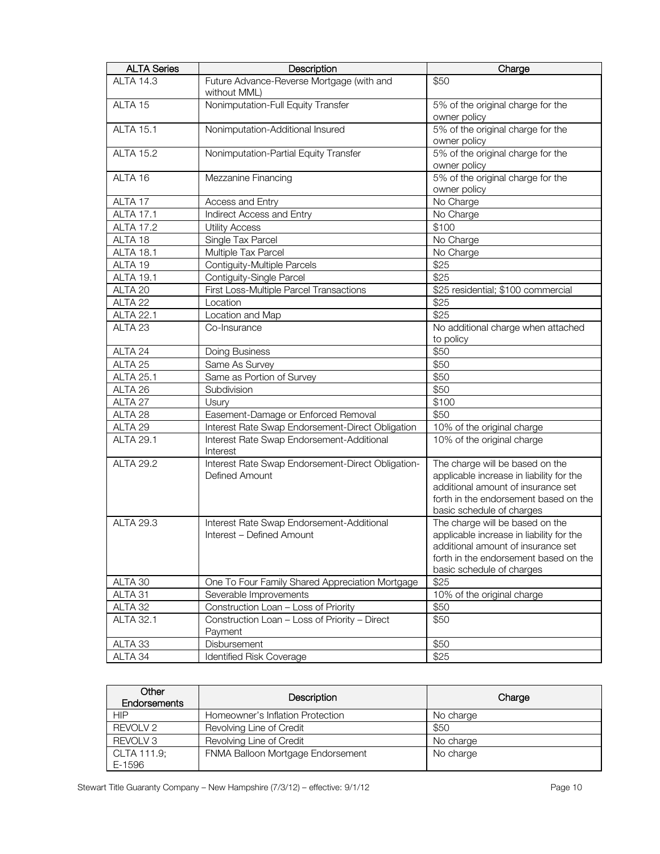| <b>ALTA Series</b> | Description                                                            | Charge                                                                                                                                                                                  |
|--------------------|------------------------------------------------------------------------|-----------------------------------------------------------------------------------------------------------------------------------------------------------------------------------------|
| <b>ALTA 14.3</b>   | Future Advance-Reverse Mortgage (with and<br>without MML)              | \$50                                                                                                                                                                                    |
| ALTA 15            | Nonimputation-Full Equity Transfer                                     | 5% of the original charge for the<br>owner policy                                                                                                                                       |
| <b>ALTA 15.1</b>   | Nonimputation-Additional Insured                                       | 5% of the original charge for the<br>owner policy                                                                                                                                       |
| <b>ALTA 15.2</b>   | Nonimputation-Partial Equity Transfer                                  | 5% of the original charge for the<br>owner policy                                                                                                                                       |
| ALTA 16            | Mezzanine Financing                                                    | 5% of the original charge for the<br>owner policy                                                                                                                                       |
| ALTA 17            | Access and Entry                                                       | No Charge                                                                                                                                                                               |
| <b>ALTA 17.1</b>   | Indirect Access and Entry                                              | No Charge                                                                                                                                                                               |
| <b>ALTA 17.2</b>   | <b>Utility Access</b>                                                  | \$100                                                                                                                                                                                   |
| ALTA 18            | Single Tax Parcel                                                      | No Charge                                                                                                                                                                               |
| <b>ALTA 18.1</b>   | Multiple Tax Parcel                                                    | No Charge                                                                                                                                                                               |
| ALTA 19            | Contiguity-Multiple Parcels                                            | \$25                                                                                                                                                                                    |
| <b>ALTA 19.1</b>   | Contiguity-Single Parcel                                               | \$25                                                                                                                                                                                    |
| ALTA 20            | First Loss-Multiple Parcel Transactions                                | \$25 residential; \$100 commercial                                                                                                                                                      |
| ALTA <sub>22</sub> | Location                                                               | \$25                                                                                                                                                                                    |
| <b>ALTA 22.1</b>   | Location and Map                                                       | \$25                                                                                                                                                                                    |
| ALTA <sub>23</sub> | Co-Insurance                                                           | No additional charge when attached<br>to policy                                                                                                                                         |
| ALTA 24            | Doing Business                                                         | \$50                                                                                                                                                                                    |
| ALTA 25            | Same As Survey                                                         | \$50                                                                                                                                                                                    |
| <b>ALTA 25.1</b>   | Same as Portion of Survey                                              | \$50                                                                                                                                                                                    |
| ALTA 26            | Subdivision                                                            | \$50                                                                                                                                                                                    |
| ALTA 27            | Usury                                                                  | \$100                                                                                                                                                                                   |
| ALTA 28            | Easement-Damage or Enforced Removal                                    | \$50                                                                                                                                                                                    |
| ALTA 29            | Interest Rate Swap Endorsement-Direct Obligation                       | 10% of the original charge                                                                                                                                                              |
| <b>ALTA 29.1</b>   | Interest Rate Swap Endorsement-Additional<br>Interest                  | 10% of the original charge                                                                                                                                                              |
| <b>ALTA 29.2</b>   | Interest Rate Swap Endorsement-Direct Obligation-<br>Defined Amount    | The charge will be based on the<br>applicable increase in liability for the<br>additional amount of insurance set<br>forth in the endorsement based on the<br>basic schedule of charges |
| <b>ALTA 29.3</b>   | Interest Rate Swap Endorsement-Additional<br>Interest - Defined Amount | The charge will be based on the<br>applicable increase in liability for the<br>additional amount of insurance set<br>forth in the endorsement based on the<br>basic schedule of charges |
| ALTA 30            | One To Four Family Shared Appreciation Mortgage                        | \$25                                                                                                                                                                                    |
| ALTA 31            | Severable Improvements                                                 | 10% of the original charge                                                                                                                                                              |
| ALTA 32            | Construction Loan - Loss of Priority                                   | \$50                                                                                                                                                                                    |
| <b>ALTA 32.1</b>   | Construction Loan - Loss of Priority - Direct<br>Payment               | \$50                                                                                                                                                                                    |
| ALTA 33            | Disbursement                                                           | \$50                                                                                                                                                                                    |
| ALTA 34            | <b>Identified Risk Coverage</b>                                        | \$25                                                                                                                                                                                    |

| Other<br><b>Endorsements</b> | Description                       | Charge    |
|------------------------------|-----------------------------------|-----------|
| НIР                          | Homeowner's Inflation Protection  | No charge |
| REVOLV 2                     | Revolving Line of Credit          | \$50      |
| REVOLV <sub>3</sub>          | Revolving Line of Credit          | No charge |
| CLTA 111.9;                  | FNMA Balloon Mortgage Endorsement | No charge |
| E-1596                       |                                   |           |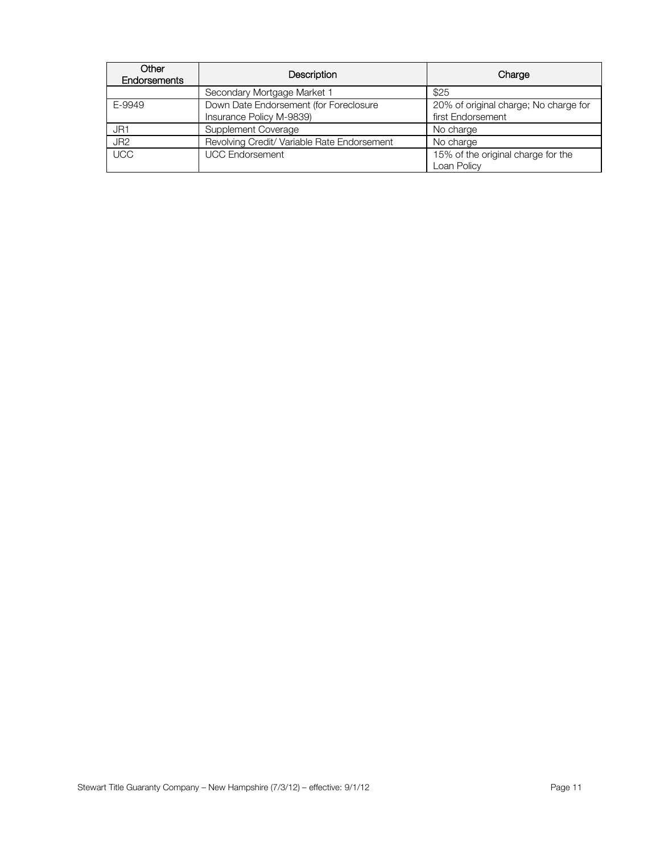| Other<br>Endorsements | Description                                                        | Charge                                                     |
|-----------------------|--------------------------------------------------------------------|------------------------------------------------------------|
|                       | Secondary Mortgage Market 1                                        | \$25                                                       |
| E-9949                | Down Date Endorsement (for Foreclosure<br>Insurance Policy M-9839) | 20% of original charge; No charge for<br>first Endorsement |
| JR1                   | Supplement Coverage                                                | No charge                                                  |
| JR <sub>2</sub>       | Revolving Credit/ Variable Rate Endorsement                        | No charge                                                  |
| <b>UCC</b>            | <b>UCC Endorsement</b>                                             | 15% of the original charge for the<br>Loan Policy          |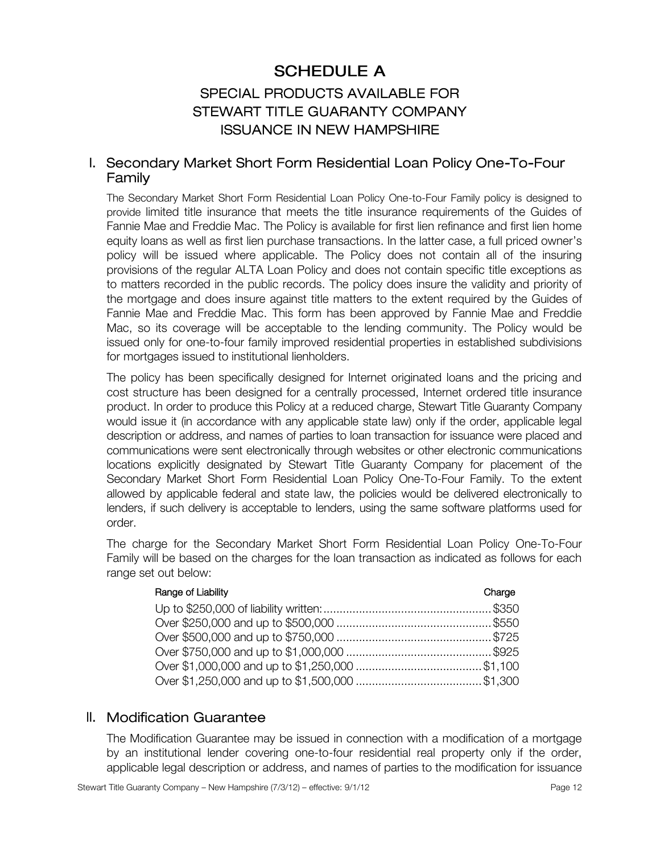# **SCHEDULE A**

# SPECIAL PRODUCTS AVAILABLE FOR STEWART TITLE GUARANTY COMPANY **ISSUANCE IN NEW HAMPSHIRE**

### I. Secondary Market Short Form Residential Loan Policy One-To-Four Family

The Secondary Market Short Form Residential Loan Policy One-to-Four Family policy is designed to provide limited title insurance that meets the title insurance requirements of the Guides of Fannie Mae and Freddie Mac. The Policy is available for first lien refinance and first lien home equity loans as well as first lien purchase transactions. In the latter case, a full priced owner's policy will be issued where applicable. The Policy does not contain all of the insuring provisions of the regular ALTA Loan Policy and does not contain specific title exceptions as to matters recorded in the public records. The policy does insure the validity and priority of the mortgage and does insure against title matters to the extent required by the Guides of Fannie Mae and Freddie Mac. This form has been approved by Fannie Mae and Freddie Mac, so its coverage will be acceptable to the lending community. The Policy would be issued only for one-to-four family improved residential properties in established subdivisions for mortgages issued to institutional lienholders.

The policy has been specifically designed for Internet originated loans and the pricing and cost structure has been designed for a centrally processed, Internet ordered title insurance product. In order to produce this Policy at a reduced charge, Stewart Title Guaranty Company would issue it (in accordance with any applicable state law) only if the order, applicable legal description or address, and names of parties to loan transaction for issuance were placed and communications were sent electronically through websites or other electronic communications locations explicitly designated by Stewart Title Guaranty Company for placement of the Secondary Market Short Form Residential Loan Policy One-To-Four Family. To the extent allowed by applicable federal and state law, the policies would be delivered electronically to lenders, if such delivery is acceptable to lenders, using the same software platforms used for order.

The charge for the Secondary Market Short Form Residential Loan Policy One-To-Four Family will be based on the charges for the loan transaction as indicated as follows for each range set out below:

| Range of Liability | Charge |
|--------------------|--------|
|                    |        |
|                    |        |
|                    |        |
|                    |        |
|                    |        |
|                    |        |

#### II. Modification Guarantee

The Modification Guarantee may be issued in connection with a modification of a mortgage by an institutional lender covering one-to-four residential real property only if the order, applicable legal description or address, and names of parties to the modification for issuance